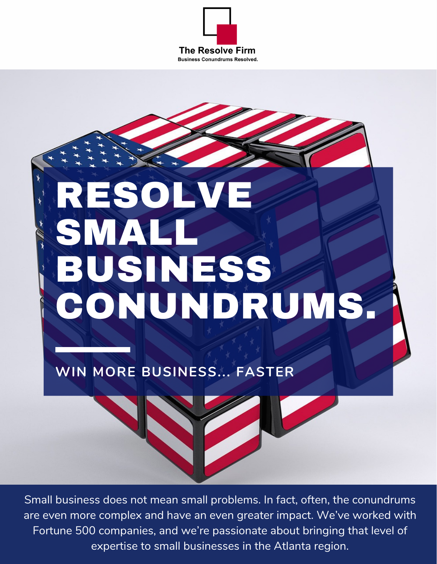



**WIN MORE BUSINESS... FASTER**

Small business does not mean small problems. In fact, often, the conundrums are even more complex and have an even greater impact. We've worked with Fortune 500 companies, and we're passionate about bringing that level of expertise to small businesses in the Atlanta region.